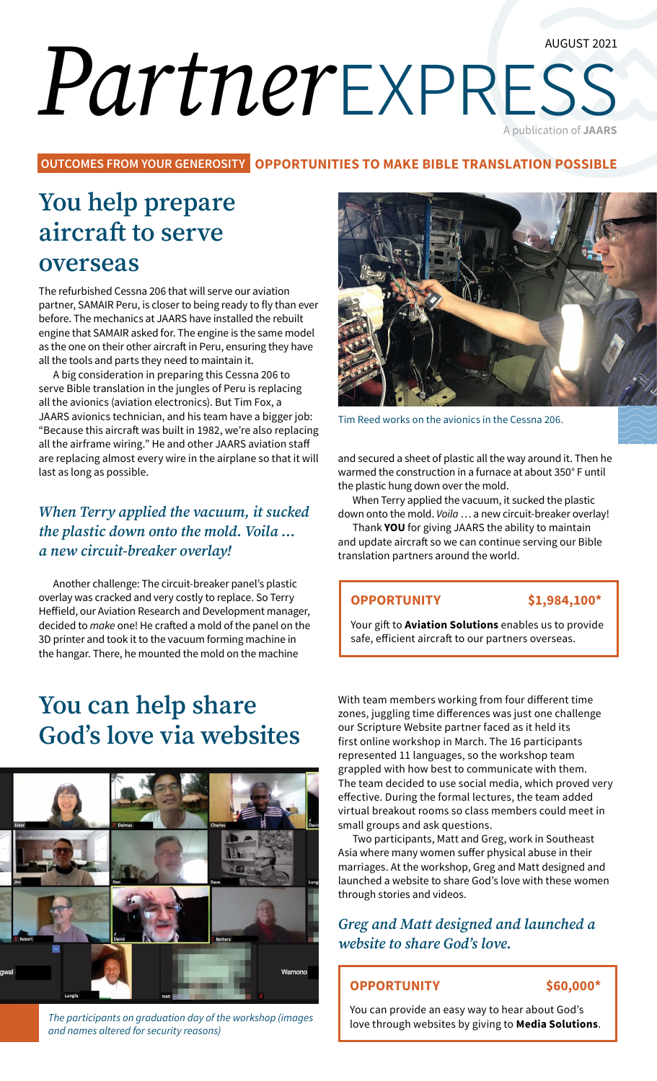#### AUGUST 2021

# *Partner*express A publication of **JAARS**

**OUTCOMES FROM YOUR GENEROSITY OPPORTUNITIES TO MAKE BIBLE TRANSLATION POSSIBLE**

# **You help prepare aircraft to serve**

**overseas** 

The refurbished Cessna 206 that will serve our aviation partner, SAMAIR Peru, is closer to being ready to fly than ever before. The mechanics at JAARS have installed the rebuilt engine that SAMAIR asked for. The engine is the same model as the one on their other aircraft in Peru, ensuring they have all the tools and parts they need to maintain it.

A big consideration in preparing this Cessna 206 to serve Bible translation in the jungles of Peru is replacing all the avionics (aviation electronics). But Tim Fox, a JAARS avionics technician, and his team have a bigger job: "Because this aircraft was built in 1982, we're also replacing all the airframe wiring." He and other JAARS aviation staff are replacing almost every wire in the airplane so that it will last as long as possible.

### *When Terry applied the vacuum, it sucked the plastic down onto the mold. Voila … a new circuit-breaker overlay!*

Another challenge: The circuit-breaker panel's plastic overlay was cracked and very costly to replace. So Terry Heffield, our Aviation Research and Development manager, decided to *make* one! He crafted a mold of the panel on the 3D printer and took it to the vacuum forming machine in the hangar. There, he mounted the mold on the machine

## **You can help share God's love via websites**



*The participants on graduation day of the workshop (images and names altered for security reasons)*



Tim Reed works on the avionics in the Cessna 206.

and secured a sheet of plastic all the way around it. Then he warmed the construction in a furnace at about 350° F until the plastic hung down over the mold.

When Terry applied the vacuum, it sucked the plastic down onto the mold. *Voila* … a new circuit-breaker overlay!

Thank **YOU** for giving JAARS the ability to maintain and update aircraft so we can continue serving our Bible translation partners around the world.

#### **OPPORTUNITY \$1,984,100\***

Your gift to **Aviation Solutions** enables us to provide safe, efficient aircraft to our partners overseas.

With team members working from four different time zones, juggling time differences was just one challenge our Scripture Website partner faced as it held its first online workshop in March. The 16 participants represented 11 languages, so the workshop team grappled with how best to communicate with them. The team decided to use social media, which proved very effective. During the formal lectures, the team added virtual breakout rooms so class members could meet in small groups and ask questions.

Two participants, Matt and Greg, work in Southeast Asia where many women suffer physical abuse in their marriages. At the workshop, Greg and Matt designed and launched a website to share God's love with these women through stories and videos.

#### *Greg and Matt designed and launched a website to share God's love.*

#### **OPPORTUNITY \$60,000\***

You can provide an easy way to hear about God's love through websites by giving to **Media Solutions**.